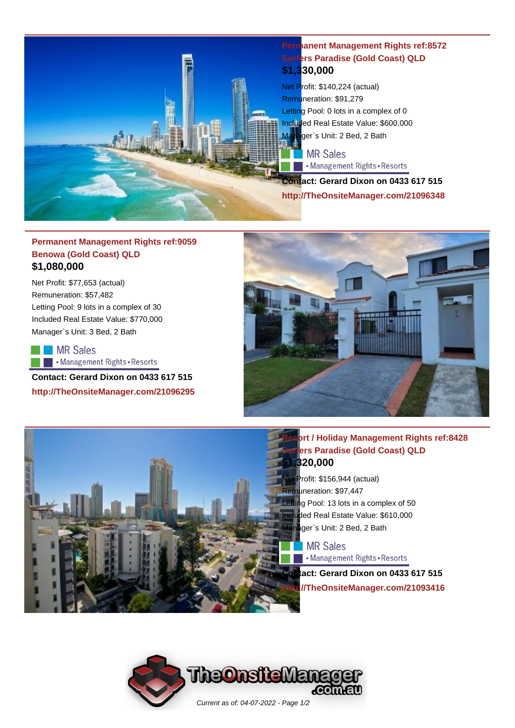

#### **Permanent Management Rights ref:8572 Surfers Paradise (Gold Coast) QLD \$1,330,000**

Net Profit: \$140,224 (actual) Remuneration: \$91,279 Letting Pool: 0 lots in a complex of 0 Included Real Estate Value: \$600,000 Manager`s Unit: 2 Bed, 2 Bath

#### MR Sales

Management Rights - Resorts

**Contact: Gerard Dixon on 0433 617 515 http://TheOnsiteManager.com/21096348**

# **Permanent Management Rights ref:9059 Benowa (Gold Coast) QLD \$1,080,000**

Net Profit: \$77,653 (actual) Remuneration: \$57,482 Letting Pool: 9 lots in a complex of 30 Included Real Estate Value: \$770,000 Manager`s Unit: 3 Bed, 2 Bath

**MR Sales** Management Rights - Resorts

**Contact: Gerard Dixon on 0433 617 515 http://TheOnsiteManager.com/21096295**



# **Resort / Holiday Management Rights ref:8428** *<u>Rurfers</u>* **Paradise (Gold Coast) QLD \$20,000**

Profit: \$156,944 (actual) Remuneration: \$97,447 Letting Pool: 13 lots in a complex of 50 Iuded Real Estate Value: \$610,000 ger`s Unit: 2 Bed, 2 Bath

**MR Sales** Management Rights - Resorts

**Contact: Gerard Dixon on 0433 617 515 http://TheOnsiteManager.com/21093416**